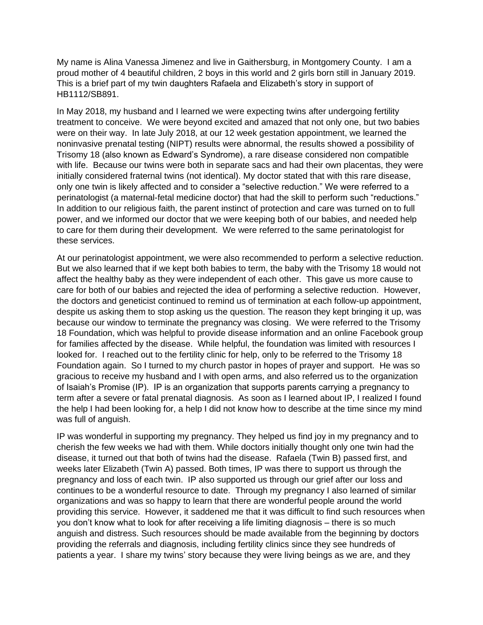My name is Alina Vanessa Jimenez and live in Gaithersburg, in Montgomery County. I am a proud mother of 4 beautiful children, 2 boys in this world and 2 girls born still in January 2019. This is a brief part of my twin daughters Rafaela and Elizabeth's story in support of HB1112/SB891.

In May 2018, my husband and I learned we were expecting twins after undergoing fertility treatment to conceive. We were beyond excited and amazed that not only one, but two babies were on their way. In late July 2018, at our 12 week gestation appointment, we learned the noninvasive prenatal testing (NIPT) results were abnormal, the results showed a possibility of Trisomy 18 (also known as Edward's Syndrome), a rare disease considered non compatible with life. Because our twins were both in separate sacs and had their own placentas, they were initially considered fraternal twins (not identical). My doctor stated that with this rare disease, only one twin is likely affected and to consider a "selective reduction." We were referred to a perinatologist (a maternal-fetal medicine doctor) that had the skill to perform such "reductions." In addition to our religious faith, the parent instinct of protection and care was turned on to full power, and we informed our doctor that we were keeping both of our babies, and needed help to care for them during their development. We were referred to the same perinatologist for these services.

At our perinatologist appointment, we were also recommended to perform a selective reduction. But we also learned that if we kept both babies to term, the baby with the Trisomy 18 would not affect the healthy baby as they were independent of each other. This gave us more cause to care for both of our babies and rejected the idea of performing a selective reduction. However, the doctors and geneticist continued to remind us of termination at each follow-up appointment, despite us asking them to stop asking us the question. The reason they kept bringing it up, was because our window to terminate the pregnancy was closing. We were referred to the Trisomy 18 Foundation, which was helpful to provide disease information and an online Facebook group for families affected by the disease. While helpful, the foundation was limited with resources I looked for. I reached out to the fertility clinic for help, only to be referred to the Trisomy 18 Foundation again. So I turned to my church pastor in hopes of prayer and support. He was so gracious to receive my husband and I with open arms, and also referred us to the organization of Isaiah's Promise (IP). IP is an organization that supports parents carrying a pregnancy to term after a severe or fatal prenatal diagnosis. As soon as I learned about IP, I realized I found the help I had been looking for, a help I did not know how to describe at the time since my mind was full of anguish.

IP was wonderful in supporting my pregnancy. They helped us find joy in my pregnancy and to cherish the few weeks we had with them. While doctors initially thought only one twin had the disease, it turned out that both of twins had the disease. Rafaela (Twin B) passed first, and weeks later Elizabeth (Twin A) passed. Both times, IP was there to support us through the pregnancy and loss of each twin. IP also supported us through our grief after our loss and continues to be a wonderful resource to date. Through my pregnancy I also learned of similar organizations and was so happy to learn that there are wonderful people around the world providing this service. However, it saddened me that it was difficult to find such resources when you don't know what to look for after receiving a life limiting diagnosis – there is so much anguish and distress. Such resources should be made available from the beginning by doctors providing the referrals and diagnosis, including fertility clinics since they see hundreds of patients a year. I share my twins' story because they were living beings as we are, and they